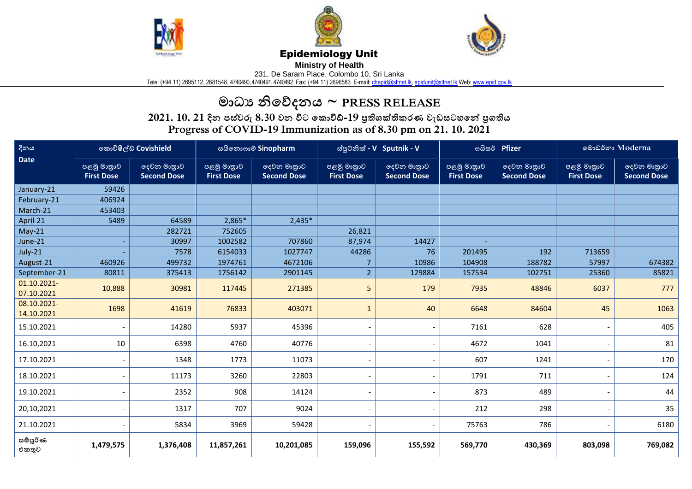





## Epidemiology Unit

**Ministry of Health** 

231, De Saram Place, Colombo 10, Sri Lanka

Tele: (+94 11) 2695112, 2681548, 4740490, 4740491, 4740492 Fax: (+94 11) 2696583 E-mail[: chepid@sltnet.lk,](mailto:chepi@sltnet.lk) [epidunit@sltnet.lk](mailto:epidunit@sltnet.lk) Web[: www.epid.gov.lk](http://www.epid.gov.lk/)

## **මාධ්ය නිවේදනය ~ PRESS RELEASE**

**2021. 10. 21 දින පස්වරු 8.30 වන විට ව ාවිඩ්-19 ප්රතිශක්තති රණ වැඩසටහවේ ප්රගතිය Progress of COVID-19 Immunization as of 8.30 pm on 21. 10. 2021**

| දිනය<br><b>Date</b>       | කොවිෂීල්ඩ් Covishield            |                                   | සයිනොෆාම් Sinopharm              |                                   | ස්පූටනික් - V Sputnik - V        |                                   | ოයිසර් Pfizer                    |                                   | මොඩර්නා Moderna                  |                                   |
|---------------------------|----------------------------------|-----------------------------------|----------------------------------|-----------------------------------|----------------------------------|-----------------------------------|----------------------------------|-----------------------------------|----------------------------------|-----------------------------------|
|                           | පළමු මානුාව<br><b>First Dose</b> | දෙවන මානුාව<br><b>Second Dose</b> | පළමු මානුාව<br><b>First Dose</b> | දෙවන මාතුාව<br><b>Second Dose</b> | පළමු මානුාව<br><b>First Dose</b> | ලදවන මානුාව<br><b>Second Dose</b> | පළමු මානුාව<br><b>First Dose</b> | දෙවන මාතුාව<br><b>Second Dose</b> | පළමු මානුාව<br><b>First Dose</b> | දෙවන මාතුාව<br><b>Second Dose</b> |
| January-21                | 59426                            |                                   |                                  |                                   |                                  |                                   |                                  |                                   |                                  |                                   |
| February-21               | 406924                           |                                   |                                  |                                   |                                  |                                   |                                  |                                   |                                  |                                   |
| March-21                  | 453403                           |                                   |                                  |                                   |                                  |                                   |                                  |                                   |                                  |                                   |
| April-21                  | 5489                             | 64589                             | 2,865*                           | $2,435*$                          |                                  |                                   |                                  |                                   |                                  |                                   |
| $May-21$                  |                                  | 282721                            | 752605                           |                                   | 26,821                           |                                   |                                  |                                   |                                  |                                   |
| June-21                   |                                  | 30997                             | 1002582                          | 707860                            | 87,974                           | 14427                             |                                  |                                   |                                  |                                   |
| July-21                   |                                  | 7578                              | 6154033                          | 1027747                           | 44286                            | 76                                | 201495                           | 192                               | 713659                           |                                   |
| August-21                 | 460926                           | 499732                            | 1974761                          | 4672106                           | $\overline{7}$                   | 10986                             | 104908                           | 188782                            | 57997                            | 674382                            |
| September-21              | 80811                            | 375413                            | 1756142                          | 2901145                           | 2 <sup>1</sup>                   | 129884                            | 157534                           | 102751                            | 25360                            | 85821                             |
| 01.10.2021-<br>07.10.2021 | 10,888                           | 30981                             | 117445                           | 271385                            | 5                                | 179                               | 7935                             | 48846                             | 6037                             | 777                               |
| 08.10.2021-<br>14.10.2021 | 1698                             | 41619                             | 76833                            | 403071                            | $\mathbf{1}$                     | 40                                | 6648                             | 84604                             | 45                               | 1063                              |
| 15.10.2021                |                                  | 14280                             | 5937                             | 45396                             | $\overline{\phantom{0}}$         |                                   | 7161                             | 628                               |                                  | 405                               |
| 16.10,2021                | 10                               | 6398                              | 4760                             | 40776                             | $\overline{\phantom{0}}$         |                                   | 4672                             | 1041                              |                                  | 81                                |
| 17.10.2021                |                                  | 1348                              | 1773                             | 11073                             |                                  |                                   | 607                              | 1241                              |                                  | 170                               |
| 18.10.2021                |                                  | 11173                             | 3260                             | 22803                             |                                  |                                   | 1791                             | 711                               |                                  | 124                               |
| 19.10.2021                |                                  | 2352                              | 908                              | 14124                             |                                  |                                   | 873                              | 489                               |                                  | 44                                |
| 20,10,2021                |                                  | 1317                              | 707                              | 9024                              |                                  |                                   | 212                              | 298                               |                                  | 35                                |
| 21.10.2021                |                                  | 5834                              | 3969                             | 59428                             |                                  |                                   | 75763                            | 786                               |                                  | 6180                              |
| සම්පූර්ණ<br>එකතුව         | 1,479,575                        | 1,376,408                         | 11,857,261                       | 10,201,085                        | 159,096                          | 155,592                           | 569,770                          | 430,369                           | 803,098                          | 769,082                           |